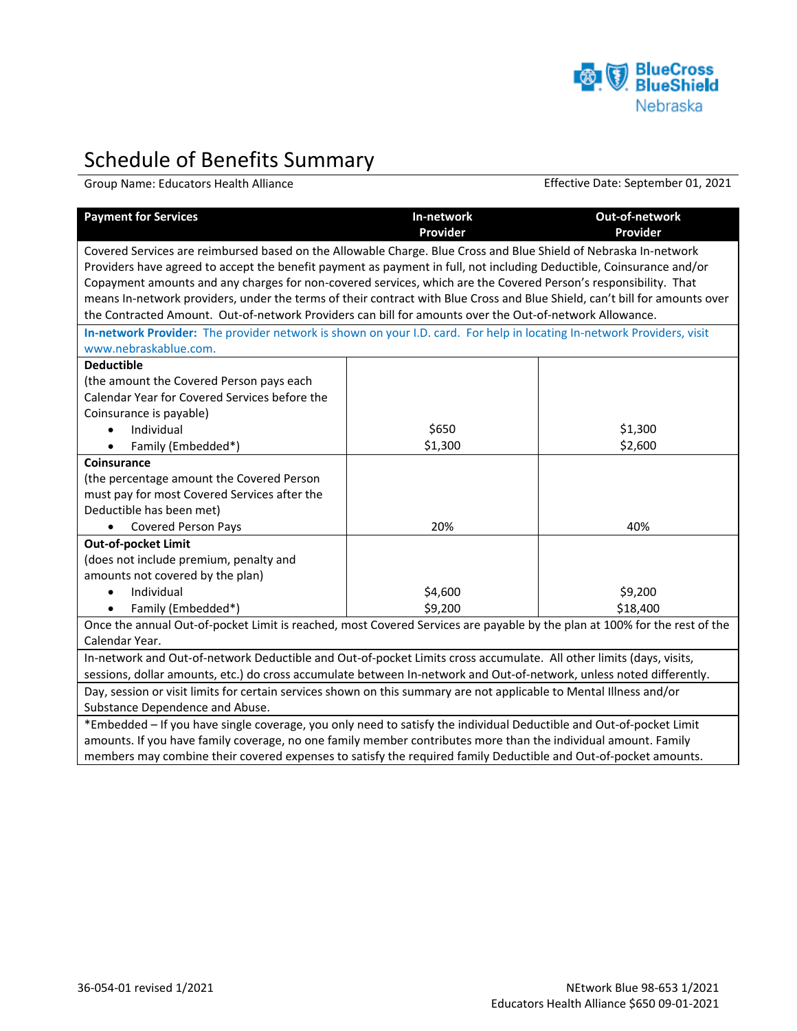

## Schedule of Benefits Summary

Group Name: Educators Health Alliance **Effective Date: September 01, 2021** 

| <b>Payment for Services</b>                                                                                                | In-network<br>Provider | Out-of-network<br>Provider |
|----------------------------------------------------------------------------------------------------------------------------|------------------------|----------------------------|
| Covered Services are reimbursed based on the Allowable Charge. Blue Cross and Blue Shield of Nebraska In-network           |                        |                            |
| Providers have agreed to accept the benefit payment as payment in full, not including Deductible, Coinsurance and/or       |                        |                            |
| Copayment amounts and any charges for non-covered services, which are the Covered Person's responsibility. That            |                        |                            |
| means In-network providers, under the terms of their contract with Blue Cross and Blue Shield, can't bill for amounts over |                        |                            |
| the Contracted Amount. Out-of-network Providers can bill for amounts over the Out-of-network Allowance.                    |                        |                            |
| In-network Provider: The provider network is shown on your I.D. card. For help in locating In-network Providers, visit     |                        |                            |
| www.nebraskablue.com.                                                                                                      |                        |                            |
| <b>Deductible</b>                                                                                                          |                        |                            |
| (the amount the Covered Person pays each                                                                                   |                        |                            |
| Calendar Year for Covered Services before the                                                                              |                        |                            |
| Coinsurance is payable)                                                                                                    |                        |                            |
| Individual<br>$\bullet$                                                                                                    | \$650                  | \$1,300                    |
| Family (Embedded*)<br>$\bullet$                                                                                            | \$1,300                | \$2,600                    |
| Coinsurance                                                                                                                |                        |                            |
| (the percentage amount the Covered Person                                                                                  |                        |                            |
| must pay for most Covered Services after the                                                                               |                        |                            |
| Deductible has been met)                                                                                                   |                        |                            |
| <b>Covered Person Pays</b><br>$\bullet$                                                                                    | 20%                    | 40%                        |
| Out-of-pocket Limit                                                                                                        |                        |                            |
| (does not include premium, penalty and                                                                                     |                        |                            |
| amounts not covered by the plan)                                                                                           |                        |                            |
| Individual                                                                                                                 | \$4,600                | \$9,200                    |
| Family (Embedded*)                                                                                                         | \$9,200                | \$18,400                   |
| Once the annual Out-of-pocket Limit is reached, most Covered Services are payable by the plan at 100% for the rest of the  |                        |                            |
| Calendar Year.                                                                                                             |                        |                            |
| In-network and Out-of-network Deductible and Out-of-pocket Limits cross accumulate. All other limits (days, visits,        |                        |                            |
| sessions, dollar amounts, etc.) do cross accumulate between In-network and Out-of-network, unless noted differently.       |                        |                            |
| Day, session or visit limits for certain services shown on this summary are not applicable to Mental Illness and/or        |                        |                            |
| Substance Dependence and Abuse.                                                                                            |                        |                            |
| *Embedded - If you have single coverage, you only need to satisfy the individual Deductible and Out-of-pocket Limit        |                        |                            |
| amounts. If you have family coverage, no one family member contributes more than the individual amount. Family             |                        |                            |
| members may combine their covered expenses to satisfy the required family Deductible and Out-of-pocket amounts.            |                        |                            |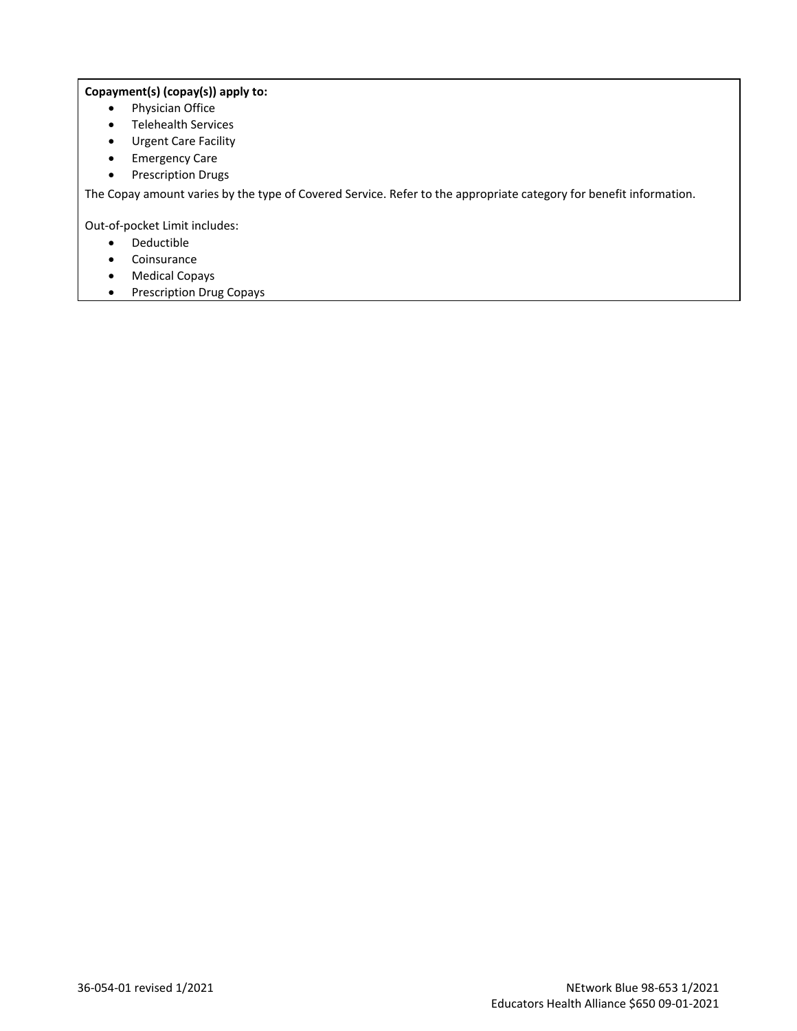## **Copayment(s) (copay(s)) apply to:**

- Physician Office
- Telehealth Services
- Urgent Care Facility
- Emergency Care
- Prescription Drugs

The Copay amount varies by the type of Covered Service. Refer to the appropriate category for benefit information.

Out-of-pocket Limit includes:

- Deductible
- Coinsurance
- Medical Copays
- Prescription Drug Copays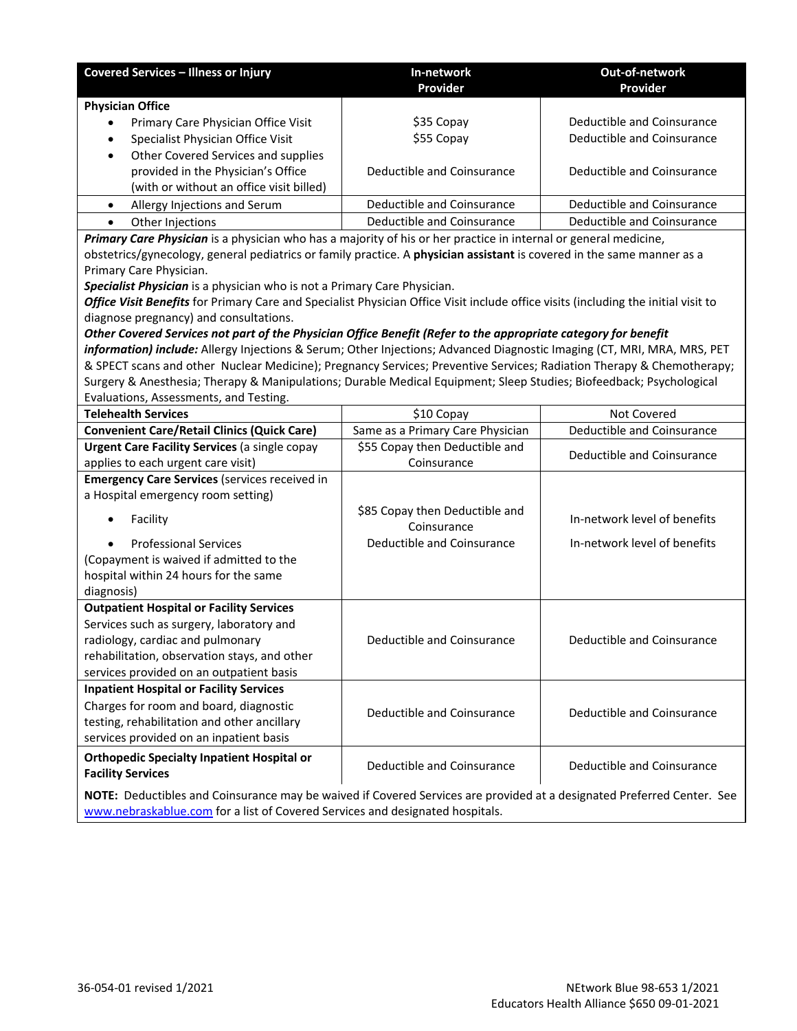| <b>Covered Services - Illness or Injury</b>                                                                                                                                                             | In-network<br>Provider           | Out-of-network<br>Provider   |  |
|---------------------------------------------------------------------------------------------------------------------------------------------------------------------------------------------------------|----------------------------------|------------------------------|--|
| <b>Physician Office</b>                                                                                                                                                                                 |                                  |                              |  |
| Primary Care Physician Office Visit                                                                                                                                                                     | \$35 Copay                       | Deductible and Coinsurance   |  |
| Specialist Physician Office Visit<br>$\bullet$                                                                                                                                                          | \$55 Copay                       | Deductible and Coinsurance   |  |
| Other Covered Services and supplies<br>$\bullet$                                                                                                                                                        |                                  |                              |  |
| provided in the Physician's Office                                                                                                                                                                      | Deductible and Coinsurance       | Deductible and Coinsurance   |  |
| (with or without an office visit billed)                                                                                                                                                                |                                  |                              |  |
| Allergy Injections and Serum<br>$\bullet$                                                                                                                                                               | Deductible and Coinsurance       | Deductible and Coinsurance   |  |
| Other Injections                                                                                                                                                                                        | Deductible and Coinsurance       | Deductible and Coinsurance   |  |
| Primary Care Physician is a physician who has a majority of his or her practice in internal or general medicine,                                                                                        |                                  |                              |  |
| obstetrics/gynecology, general pediatrics or family practice. A physician assistant is covered in the same manner as a                                                                                  |                                  |                              |  |
| Primary Care Physician.                                                                                                                                                                                 |                                  |                              |  |
| Specialist Physician is a physician who is not a Primary Care Physician.                                                                                                                                |                                  |                              |  |
| Office Visit Benefits for Primary Care and Specialist Physician Office Visit include office visits (including the initial visit to                                                                      |                                  |                              |  |
| diagnose pregnancy) and consultations.                                                                                                                                                                  |                                  |                              |  |
| Other Covered Services not part of the Physician Office Benefit (Refer to the appropriate category for benefit                                                                                          |                                  |                              |  |
| information) include: Allergy Injections & Serum; Other Injections; Advanced Diagnostic Imaging (CT, MRI, MRA, MRS, PET                                                                                 |                                  |                              |  |
| & SPECT scans and other Nuclear Medicine); Pregnancy Services; Preventive Services; Radiation Therapy & Chemotherapy;                                                                                   |                                  |                              |  |
| Surgery & Anesthesia; Therapy & Manipulations; Durable Medical Equipment; Sleep Studies; Biofeedback; Psychological                                                                                     |                                  |                              |  |
| Evaluations, Assessments, and Testing.                                                                                                                                                                  |                                  |                              |  |
| <b>Telehealth Services</b>                                                                                                                                                                              | \$10 Copay                       | Not Covered                  |  |
| <b>Convenient Care/Retail Clinics (Quick Care)</b>                                                                                                                                                      | Same as a Primary Care Physician | Deductible and Coinsurance   |  |
| <b>Urgent Care Facility Services (a single copay</b>                                                                                                                                                    | \$55 Copay then Deductible and   | Deductible and Coinsurance   |  |
| applies to each urgent care visit)                                                                                                                                                                      | Coinsurance                      |                              |  |
| <b>Emergency Care Services (services received in</b>                                                                                                                                                    |                                  |                              |  |
| a Hospital emergency room setting)                                                                                                                                                                      |                                  |                              |  |
| Facility                                                                                                                                                                                                | \$85 Copay then Deductible and   | In-network level of benefits |  |
|                                                                                                                                                                                                         | Coinsurance                      |                              |  |
| <b>Professional Services</b>                                                                                                                                                                            | Deductible and Coinsurance       | In-network level of benefits |  |
| (Copayment is waived if admitted to the                                                                                                                                                                 |                                  |                              |  |
| hospital within 24 hours for the same<br>diagnosis)                                                                                                                                                     |                                  |                              |  |
| <b>Outpatient Hospital or Facility Services</b>                                                                                                                                                         |                                  |                              |  |
| Services such as surgery, laboratory and                                                                                                                                                                |                                  |                              |  |
| radiology, cardiac and pulmonary                                                                                                                                                                        | Deductible and Coinsurance       | Deductible and Coinsurance   |  |
| rehabilitation, observation stays, and other                                                                                                                                                            |                                  |                              |  |
| services provided on an outpatient basis                                                                                                                                                                |                                  |                              |  |
| <b>Inpatient Hospital or Facility Services</b>                                                                                                                                                          |                                  |                              |  |
| Charges for room and board, diagnostic                                                                                                                                                                  |                                  |                              |  |
| testing, rehabilitation and other ancillary                                                                                                                                                             | Deductible and Coinsurance       | Deductible and Coinsurance   |  |
| services provided on an inpatient basis                                                                                                                                                                 |                                  |                              |  |
|                                                                                                                                                                                                         |                                  |                              |  |
| <b>Orthopedic Specialty Inpatient Hospital or</b><br><b>Facility Services</b>                                                                                                                           | Deductible and Coinsurance       | Deductible and Coinsurance   |  |
|                                                                                                                                                                                                         |                                  |                              |  |
| NOTE: Deductibles and Coinsurance may be waived if Covered Services are provided at a designated Preferred Center. See<br>www.nebraskablue.com for a list of Covered Services and designated hospitals. |                                  |                              |  |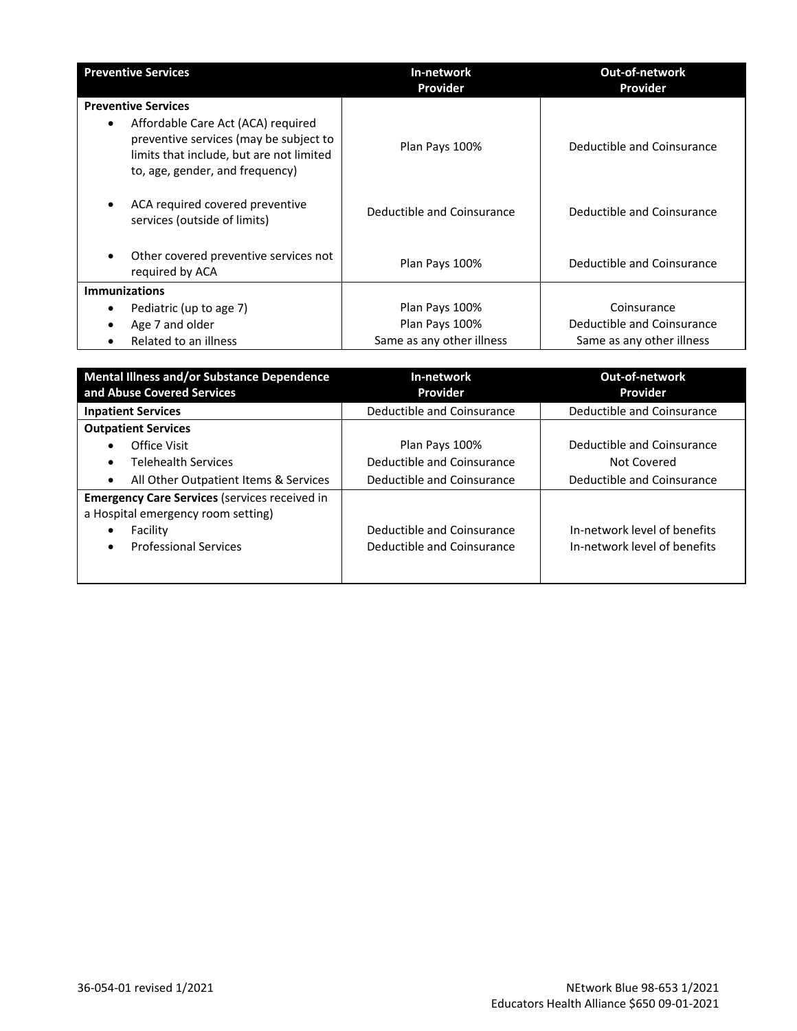| <b>Preventive Services</b>                                                                                                                                               | In-network                 | <b>Out-of-network</b>      |
|--------------------------------------------------------------------------------------------------------------------------------------------------------------------------|----------------------------|----------------------------|
|                                                                                                                                                                          | Provider                   | Provider                   |
| <b>Preventive Services</b>                                                                                                                                               |                            |                            |
| Affordable Care Act (ACA) required<br>$\bullet$<br>preventive services (may be subject to<br>limits that include, but are not limited<br>to, age, gender, and frequency) | Plan Pays 100%             | Deductible and Coinsurance |
| ACA required covered preventive<br>services (outside of limits)                                                                                                          | Deductible and Coinsurance | Deductible and Coinsurance |
| Other covered preventive services not<br>required by ACA                                                                                                                 | Plan Pays 100%             | Deductible and Coinsurance |
| <b>Immunizations</b>                                                                                                                                                     |                            |                            |
| Pediatric (up to age 7)<br>$\bullet$                                                                                                                                     | Plan Pays 100%             | Coinsurance                |
| Age 7 and older                                                                                                                                                          | Plan Pays 100%             | Deductible and Coinsurance |
| Related to an illness                                                                                                                                                    | Same as any other illness  | Same as any other illness  |

| <b>Mental Illness and/or Substance Dependence</b><br>and Abuse Covered Services                                                                     | In-network<br>Provider                                   | <b>Out-of-network</b><br>Provider                            |
|-----------------------------------------------------------------------------------------------------------------------------------------------------|----------------------------------------------------------|--------------------------------------------------------------|
| <b>Inpatient Services</b>                                                                                                                           | Deductible and Coinsurance                               | Deductible and Coinsurance                                   |
| <b>Outpatient Services</b>                                                                                                                          |                                                          |                                                              |
| Office Visit                                                                                                                                        | Plan Pays 100%                                           | Deductible and Coinsurance                                   |
| <b>Telehealth Services</b>                                                                                                                          | Deductible and Coinsurance                               | Not Covered                                                  |
| All Other Outpatient Items & Services                                                                                                               | Deductible and Coinsurance                               | Deductible and Coinsurance                                   |
| <b>Emergency Care Services (services received in</b><br>a Hospital emergency room setting)<br>Facility<br><b>Professional Services</b><br>$\bullet$ | Deductible and Coinsurance<br>Deductible and Coinsurance | In-network level of benefits<br>In-network level of benefits |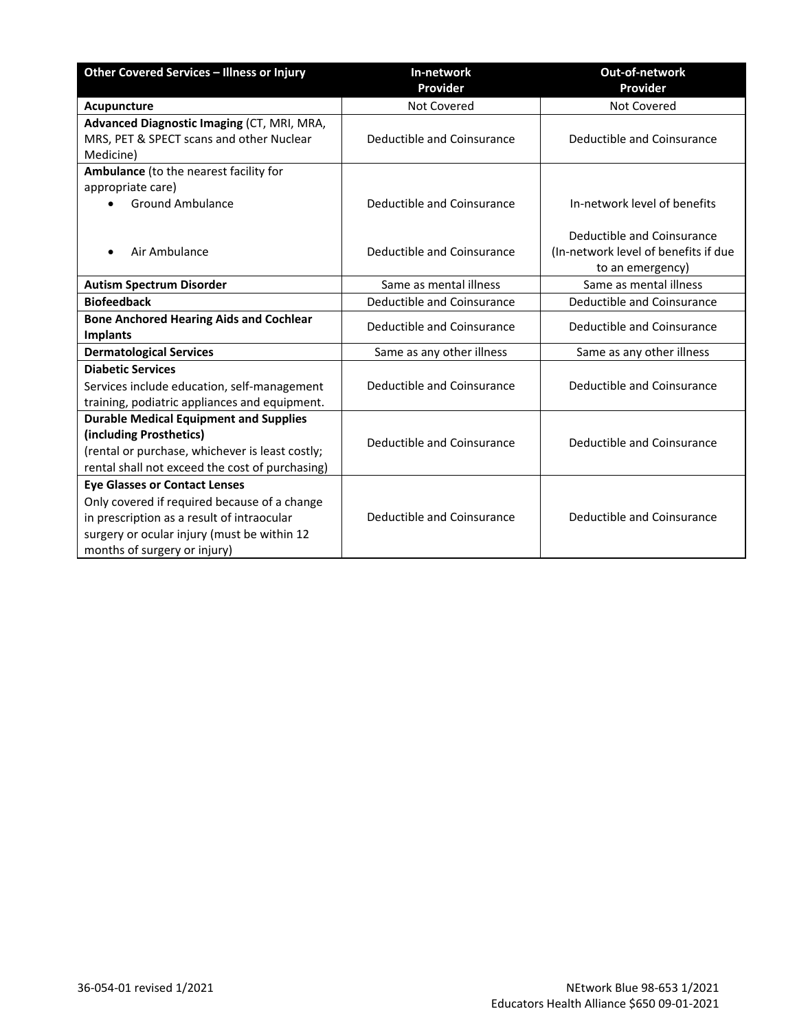| Other Covered Services - Illness or Injury                                                                                                                                                                        | In-network<br>Provider     | Out-of-network<br>Provider                                                             |
|-------------------------------------------------------------------------------------------------------------------------------------------------------------------------------------------------------------------|----------------------------|----------------------------------------------------------------------------------------|
| Acupuncture                                                                                                                                                                                                       | Not Covered                | Not Covered                                                                            |
| Advanced Diagnostic Imaging (CT, MRI, MRA,<br>MRS, PET & SPECT scans and other Nuclear<br>Medicine)                                                                                                               | Deductible and Coinsurance | Deductible and Coinsurance                                                             |
| Ambulance (to the nearest facility for<br>appropriate care)<br><b>Ground Ambulance</b>                                                                                                                            | Deductible and Coinsurance | In-network level of benefits                                                           |
| Air Ambulance                                                                                                                                                                                                     | Deductible and Coinsurance | Deductible and Coinsurance<br>(In-network level of benefits if due<br>to an emergency) |
| <b>Autism Spectrum Disorder</b>                                                                                                                                                                                   | Same as mental illness     | Same as mental illness                                                                 |
| <b>Biofeedback</b>                                                                                                                                                                                                | Deductible and Coinsurance | Deductible and Coinsurance                                                             |
| <b>Bone Anchored Hearing Aids and Cochlear</b><br><b>Implants</b>                                                                                                                                                 | Deductible and Coinsurance | Deductible and Coinsurance                                                             |
| <b>Dermatological Services</b>                                                                                                                                                                                    | Same as any other illness  | Same as any other illness                                                              |
| <b>Diabetic Services</b><br>Services include education, self-management<br>training, podiatric appliances and equipment.                                                                                          | Deductible and Coinsurance | Deductible and Coinsurance                                                             |
| <b>Durable Medical Equipment and Supplies</b><br>(including Prosthetics)<br>(rental or purchase, whichever is least costly;<br>rental shall not exceed the cost of purchasing)                                    | Deductible and Coinsurance | Deductible and Coinsurance                                                             |
| <b>Eye Glasses or Contact Lenses</b><br>Only covered if required because of a change<br>in prescription as a result of intraocular<br>surgery or ocular injury (must be within 12<br>months of surgery or injury) | Deductible and Coinsurance | Deductible and Coinsurance                                                             |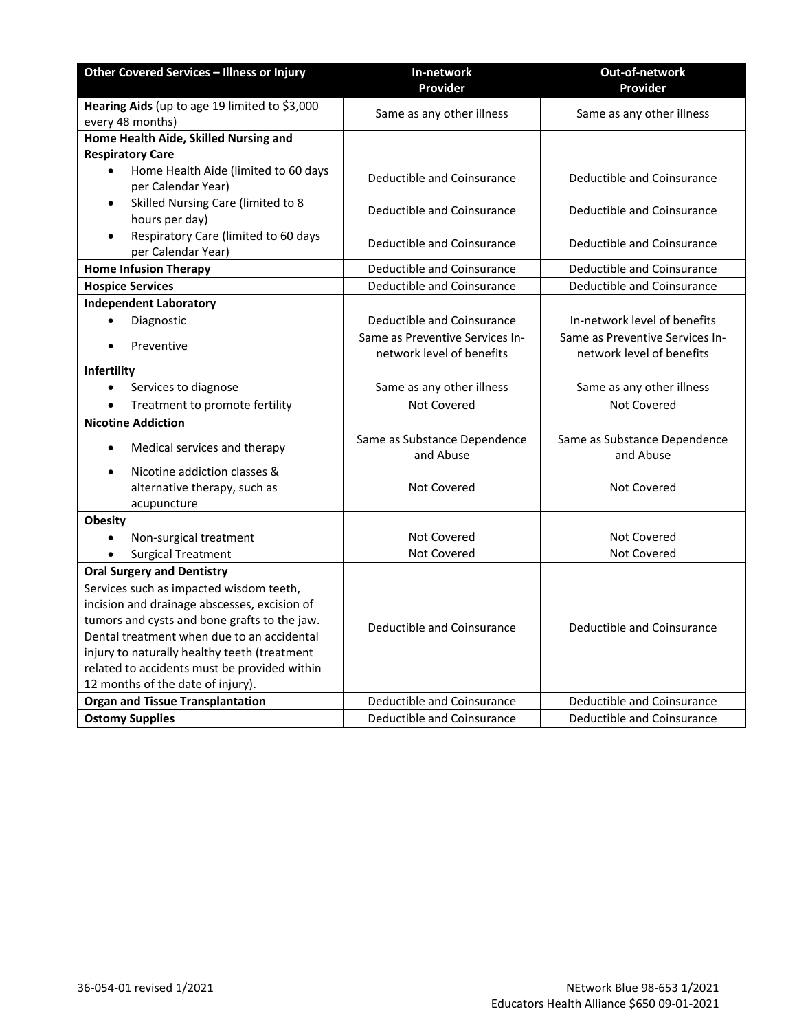| Other Covered Services - Illness or Injury                              | In-network                                | Out-of-network                            |
|-------------------------------------------------------------------------|-------------------------------------------|-------------------------------------------|
|                                                                         | Provider                                  | Provider                                  |
| Hearing Aids (up to age 19 limited to \$3,000<br>every 48 months)       | Same as any other illness                 | Same as any other illness                 |
| Home Health Aide, Skilled Nursing and                                   |                                           |                                           |
| <b>Respiratory Care</b>                                                 |                                           |                                           |
| Home Health Aide (limited to 60 days<br>$\bullet$<br>per Calendar Year) | Deductible and Coinsurance                | Deductible and Coinsurance                |
| Skilled Nursing Care (limited to 8<br>٠<br>hours per day)               | Deductible and Coinsurance                | Deductible and Coinsurance                |
| Respiratory Care (limited to 60 days<br>$\bullet$<br>per Calendar Year) | Deductible and Coinsurance                | Deductible and Coinsurance                |
| <b>Home Infusion Therapy</b>                                            | Deductible and Coinsurance                | Deductible and Coinsurance                |
| <b>Hospice Services</b>                                                 | <b>Deductible and Coinsurance</b>         | Deductible and Coinsurance                |
| <b>Independent Laboratory</b>                                           |                                           |                                           |
| Diagnostic                                                              | Deductible and Coinsurance                | In-network level of benefits              |
|                                                                         | Same as Preventive Services In-           | Same as Preventive Services In-           |
| Preventive                                                              | network level of benefits                 | network level of benefits                 |
| Infertility                                                             |                                           |                                           |
| $\bullet$<br>Services to diagnose                                       | Same as any other illness                 | Same as any other illness                 |
| Treatment to promote fertility<br>$\bullet$                             | <b>Not Covered</b>                        | Not Covered                               |
| <b>Nicotine Addiction</b>                                               |                                           |                                           |
| Medical services and therapy<br>$\bullet$                               | Same as Substance Dependence<br>and Abuse | Same as Substance Dependence<br>and Abuse |
| Nicotine addiction classes &                                            |                                           |                                           |
| alternative therapy, such as                                            | <b>Not Covered</b>                        | <b>Not Covered</b>                        |
| acupuncture                                                             |                                           |                                           |
| <b>Obesity</b>                                                          |                                           |                                           |
| Non-surgical treatment                                                  | <b>Not Covered</b>                        | Not Covered                               |
| <b>Surgical Treatment</b>                                               | Not Covered                               | Not Covered                               |
| <b>Oral Surgery and Dentistry</b>                                       |                                           |                                           |
| Services such as impacted wisdom teeth,                                 |                                           |                                           |
| incision and drainage abscesses, excision of                            |                                           |                                           |
| tumors and cysts and bone grafts to the jaw.                            | Deductible and Coinsurance                | Deductible and Coinsurance                |
| Dental treatment when due to an accidental                              |                                           |                                           |
| injury to naturally healthy teeth (treatment                            |                                           |                                           |
| related to accidents must be provided within                            |                                           |                                           |
| 12 months of the date of injury).                                       |                                           |                                           |
| <b>Organ and Tissue Transplantation</b>                                 | <b>Deductible and Coinsurance</b>         | Deductible and Coinsurance                |
| <b>Ostomy Supplies</b>                                                  | Deductible and Coinsurance                | Deductible and Coinsurance                |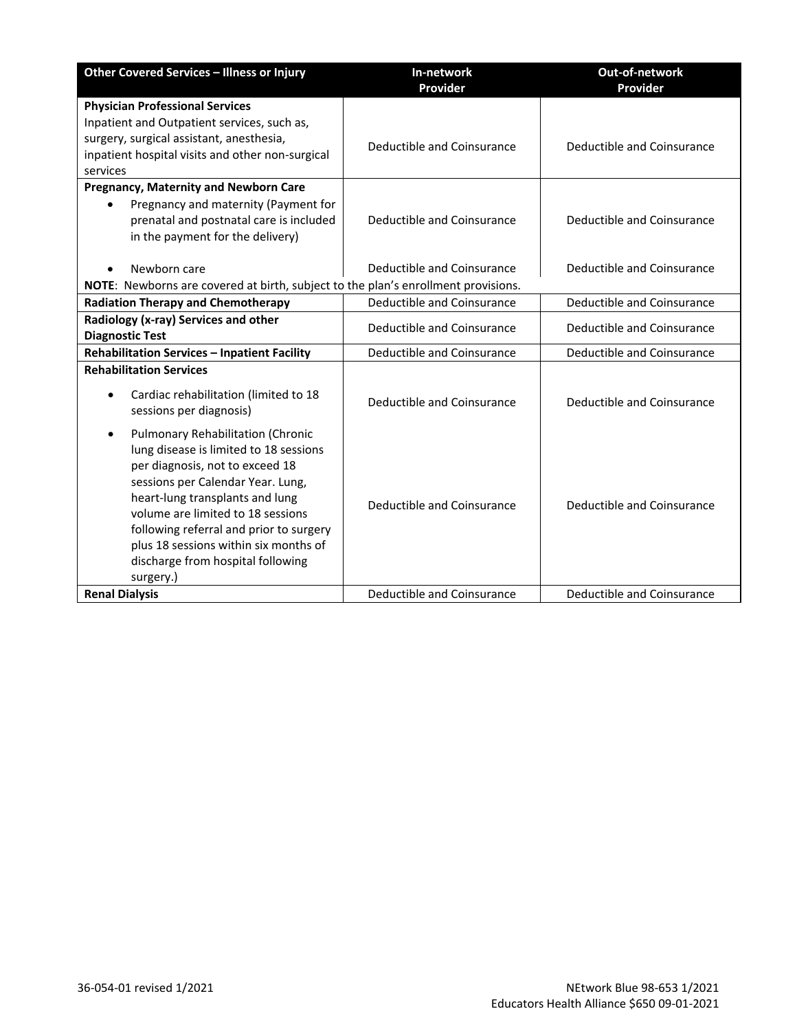| Other Covered Services - Illness or Injury                                                                                                                                                                                                                                                                                                                             | In-network<br>Provider     | Out-of-network<br>Provider |
|------------------------------------------------------------------------------------------------------------------------------------------------------------------------------------------------------------------------------------------------------------------------------------------------------------------------------------------------------------------------|----------------------------|----------------------------|
| <b>Physician Professional Services</b><br>Inpatient and Outpatient services, such as,<br>surgery, surgical assistant, anesthesia,                                                                                                                                                                                                                                      |                            |                            |
| inpatient hospital visits and other non-surgical<br>services                                                                                                                                                                                                                                                                                                           | Deductible and Coinsurance | Deductible and Coinsurance |
| <b>Pregnancy, Maternity and Newborn Care</b><br>Pregnancy and maternity (Payment for<br>$\bullet$<br>prenatal and postnatal care is included<br>in the payment for the delivery)                                                                                                                                                                                       | Deductible and Coinsurance | Deductible and Coinsurance |
| Newborn care<br>NOTE: Newborns are covered at birth, subject to the plan's enrollment provisions.                                                                                                                                                                                                                                                                      | Deductible and Coinsurance | Deductible and Coinsurance |
| <b>Radiation Therapy and Chemotherapy</b>                                                                                                                                                                                                                                                                                                                              | Deductible and Coinsurance | Deductible and Coinsurance |
| Radiology (x-ray) Services and other<br><b>Diagnostic Test</b>                                                                                                                                                                                                                                                                                                         | Deductible and Coinsurance | Deductible and Coinsurance |
| <b>Rehabilitation Services - Inpatient Facility</b>                                                                                                                                                                                                                                                                                                                    | Deductible and Coinsurance | Deductible and Coinsurance |
| <b>Rehabilitation Services</b><br>Cardiac rehabilitation (limited to 18<br>sessions per diagnosis)                                                                                                                                                                                                                                                                     | Deductible and Coinsurance | Deductible and Coinsurance |
| Pulmonary Rehabilitation (Chronic<br>٠<br>lung disease is limited to 18 sessions<br>per diagnosis, not to exceed 18<br>sessions per Calendar Year. Lung,<br>heart-lung transplants and lung<br>volume are limited to 18 sessions<br>following referral and prior to surgery<br>plus 18 sessions within six months of<br>discharge from hospital following<br>surgery.) | Deductible and Coinsurance | Deductible and Coinsurance |
| <b>Renal Dialysis</b>                                                                                                                                                                                                                                                                                                                                                  | Deductible and Coinsurance | Deductible and Coinsurance |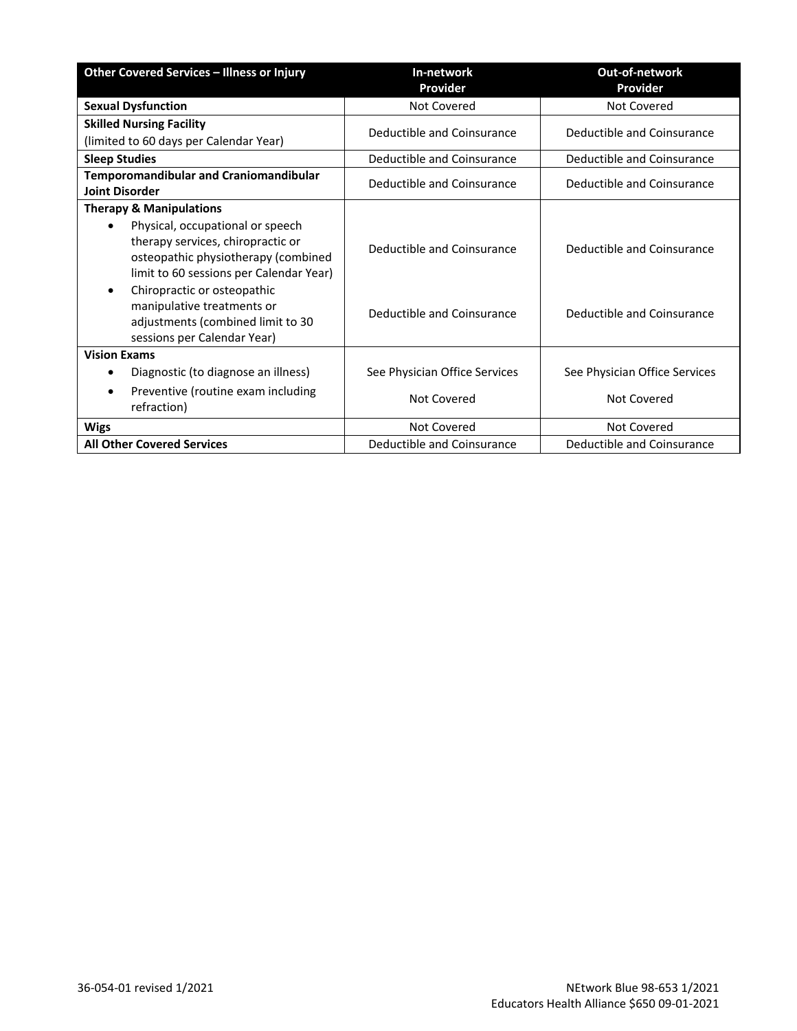| Other Covered Services - Illness or Injury                                                                                                              | In-network                    | Out-of-network                |
|---------------------------------------------------------------------------------------------------------------------------------------------------------|-------------------------------|-------------------------------|
|                                                                                                                                                         | Provider                      | Provider                      |
| <b>Sexual Dysfunction</b>                                                                                                                               | Not Covered                   | Not Covered                   |
| <b>Skilled Nursing Facility</b>                                                                                                                         | Deductible and Coinsurance    | Deductible and Coinsurance    |
| (limited to 60 days per Calendar Year)                                                                                                                  |                               |                               |
| <b>Sleep Studies</b>                                                                                                                                    | Deductible and Coinsurance    | Deductible and Coinsurance    |
| <b>Temporomandibular and Craniomandibular</b><br><b>Joint Disorder</b>                                                                                  | Deductible and Coinsurance    | Deductible and Coinsurance    |
| <b>Therapy &amp; Manipulations</b>                                                                                                                      |                               |                               |
| Physical, occupational or speech<br>therapy services, chiropractic or<br>osteopathic physiotherapy (combined<br>limit to 60 sessions per Calendar Year) | Deductible and Coinsurance    | Deductible and Coinsurance    |
| Chiropractic or osteopathic<br>$\bullet$<br>manipulative treatments or<br>adjustments (combined limit to 30<br>sessions per Calendar Year)              | Deductible and Coinsurance    | Deductible and Coinsurance    |
| <b>Vision Exams</b>                                                                                                                                     |                               |                               |
| Diagnostic (to diagnose an illness)                                                                                                                     | See Physician Office Services | See Physician Office Services |
| Preventive (routine exam including<br>$\bullet$<br>refraction)                                                                                          | Not Covered                   | Not Covered                   |
| <b>Wigs</b>                                                                                                                                             | Not Covered                   | Not Covered                   |
| <b>All Other Covered Services</b>                                                                                                                       | Deductible and Coinsurance    | Deductible and Coinsurance    |